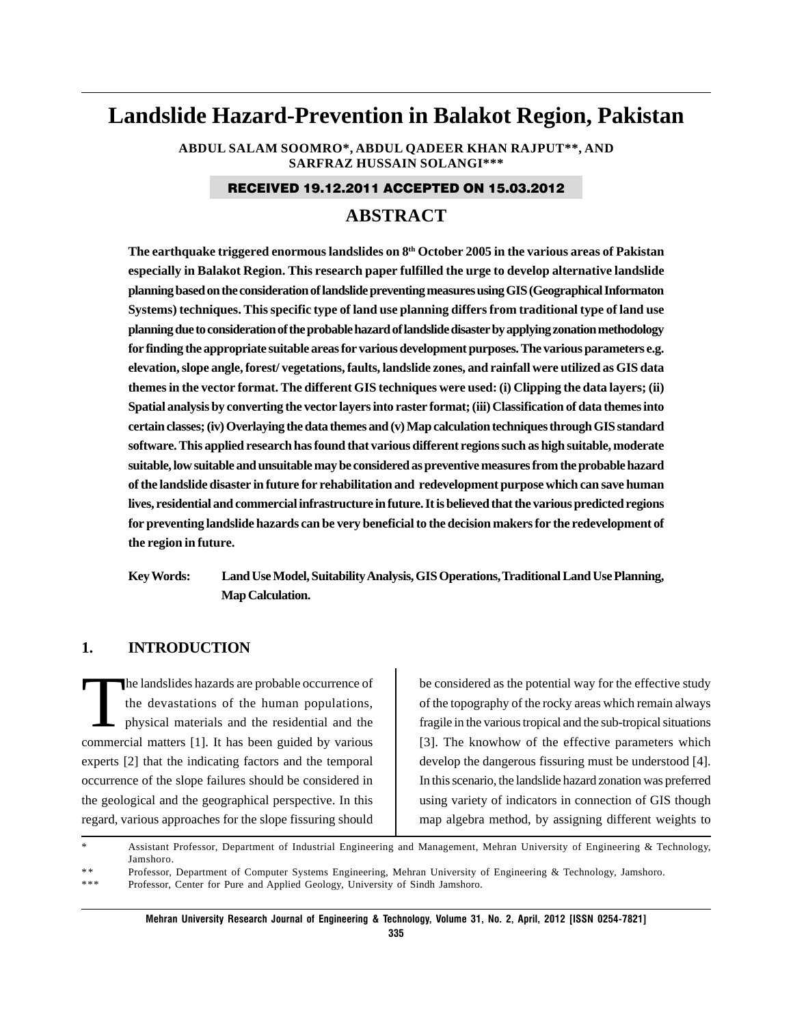# **Landslide Hazard-Prevention in Balakot Region, Pakistan**

**ABDUL SALAM SOOMRO\*, ABDUL QADEER KHAN RAJPUT\*\*, AND SARFRAZ HUSSAIN SOLANGI\*\*\***

#### RECEIVED 19.12.2011 ACCEPTED ON 15.03.2012

# **ABSTRACT**

**The earthquake triggered enormous landslides on 8th October 2005 in the various areas of Pakistan especially in Balakot Region. This research paper fulfilled the urge to develop alternative landslide planning based on the consideration of landslide preventing measures using GIS (Geographical Informaton Systems) techniques. This specific type of land use planning differs from traditional type of land use planning due to consideration of the probable hazard of landslide disaster by applying zonation methodology for finding the appropriate suitable areas for various development purposes. The various parameters e.g. elevation, slope angle, forest/ vegetations, faults, landslide zones, and rainfall were utilized as GIS data themes in the vector format. The different GIS techniques were used: (i) Clipping the data layers; (ii) Spatial analysis by converting the vector layers into raster format; (iii) Classification of data themes into certain classes; (iv) Overlaying the data themes and (v) Map calculation techniques through GIS standard software. This applied research has found that various different regions such as high suitable, moderate suitable, low suitable and unsuitable may be considered as preventive measures from the probable hazard of the landslide disaster in future for rehabilitation and redevelopment purpose which can save human lives, residential and commercial infrastructure in future. It is believed that the various predicted regions for preventing landslide hazards can be very beneficial to the decision makers for the redevelopment of the region in future.**

**Key Words: Land Use Model, Suitability Analysis, GIS Operations, Traditional Land Use Planning, Map Calculation.**

#### **1. INTRODUCTION**

The landslides hazards are probable occurrence of<br>the devastations of the human populations,<br>physical materials and the residential and the the devastations of the human populations, physical materials and the residential and the commercial matters [1]. It has been guided by various experts [2] that the indicating factors and the temporal occurrence of the slope failures should be considered in the geological and the geographical perspective. In this regard, various approaches for the slope fissuring should

be considered as the potential way for the effective study of the topography of the rocky areas which remain always fragile in the various tropical and the sub-tropical situations [3]. The knowhow of the effective parameters which develop the dangerous fissuring must be understood [4]. In this scenario, the landslide hazard zonation was preferred using variety of indicators in connection of GIS though map algebra method, by assigning different weights to

Assistant Professor, Department of Industrial Engineering and Management, Mehran University of Engineering & Technology, Jamshoro.

\* \* Professor, Department of Computer Systems Engineering, Mehran University of Engineering & Technology, Jamshoro.

\*\*\* Professor, Center for Pure and Applied Geology, University of Sindh Jamshoro.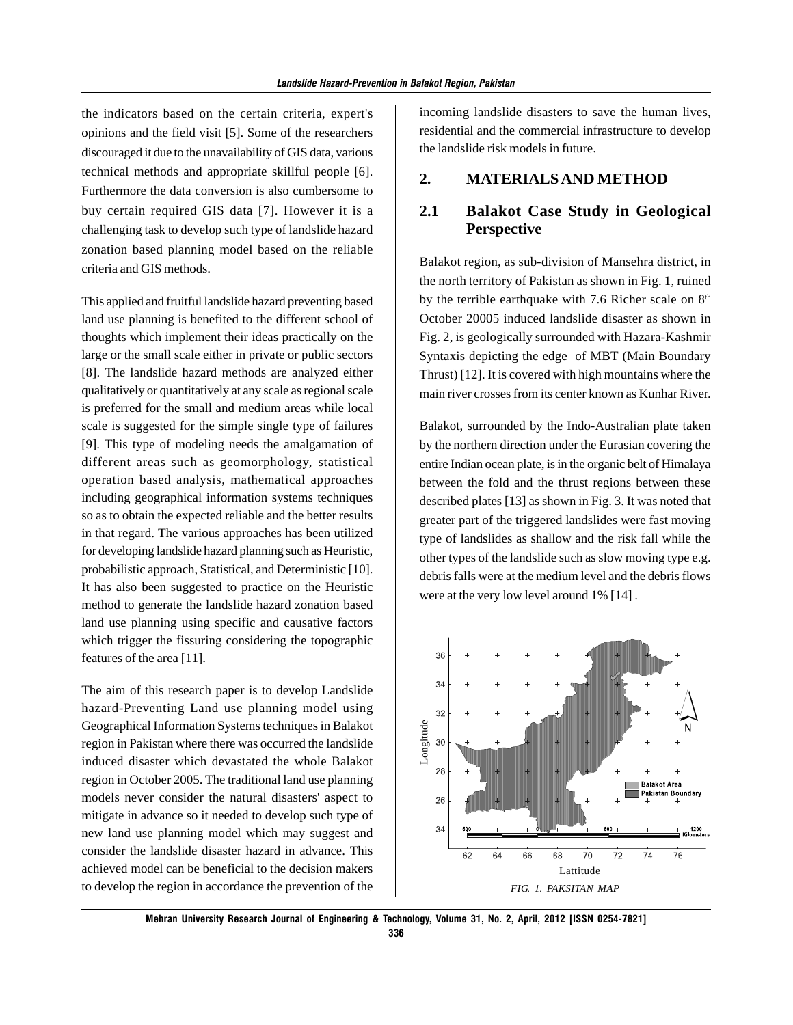the indicators based on the certain criteria, expert's opinions and the field visit [5]. Some of the researchers discouraged it due to the unavailability of GIS data, various technical methods and appropriate skillful people [6]. Furthermore the data conversion is also cumbersome to buy certain required GIS data [7]. However it is a challenging task to develop such type of landslide hazard zonation based planning model based on the reliable criteria and GIS methods.

This applied and fruitful landslide hazard preventing based land use planning is benefited to the different school of thoughts which implement their ideas practically on the large or the small scale either in private or public sectors [8]. The landslide hazard methods are analyzed either qualitatively or quantitatively at any scale as regional scale is preferred for the small and medium areas while local scale is suggested for the simple single type of failures [9]. This type of modeling needs the amalgamation of different areas such as geomorphology, statistical operation based analysis, mathematical approaches including geographical information systems techniques so as to obtain the expected reliable and the better results in that regard. The various approaches has been utilized for developing landslide hazard planning such as Heuristic, probabilistic approach, Statistical, and Deterministic [10]. It has also been suggested to practice on the Heuristic method to generate the landslide hazard zonation based land use planning using specific and causative factors which trigger the fissuring considering the topographic features of the area [11].

The aim of this research paper is to develop Landslide hazard-Preventing Land use planning model using Geographical Information Systems techniques in Balakot region in Pakistan where there was occurred the landslide induced disaster which devastated the whole Balakot region in October 2005. The traditional land use planning models never consider the natural disasters' aspect to mitigate in advance so it needed to develop such type of new land use planning model which may suggest and consider the landslide disaster hazard in advance. This achieved model can be beneficial to the decision makers to develop the region in accordance the prevention of the incoming landslide disasters to save the human lives, residential and the commercial infrastructure to develop the landslide risk models in future.

#### **2. MATERIALS AND METHOD**

#### **2.1 Balakot Case Study in Geological Perspective**

Balakot region, as sub-division of Mansehra district, in the north territory of Pakistan as shown in Fig. 1, ruined by the terrible earthquake with 7.6 Richer scale on  $8<sup>th</sup>$ October 20005 induced landslide disaster as shown in Fig. 2, is geologically surrounded with Hazara-Kashmir Syntaxis depicting the edge of MBT (Main Boundary Thrust) [12]. It is covered with high mountains where the main river crosses from its center known as Kunhar River.

Balakot, surrounded by the Indo-Australian plate taken by the northern direction under the Eurasian covering the entire Indian ocean plate, is in the organic belt of Himalaya between the fold and the thrust regions between these described plates [13] as shown in Fig. 3. It was noted that greater part of the triggered landslides were fast moving type of landslides as shallow and the risk fall while the other types of the landslide such as slow moving type e.g. debris falls were at the medium level and the debris flows were at the very low level around 1% [14] .

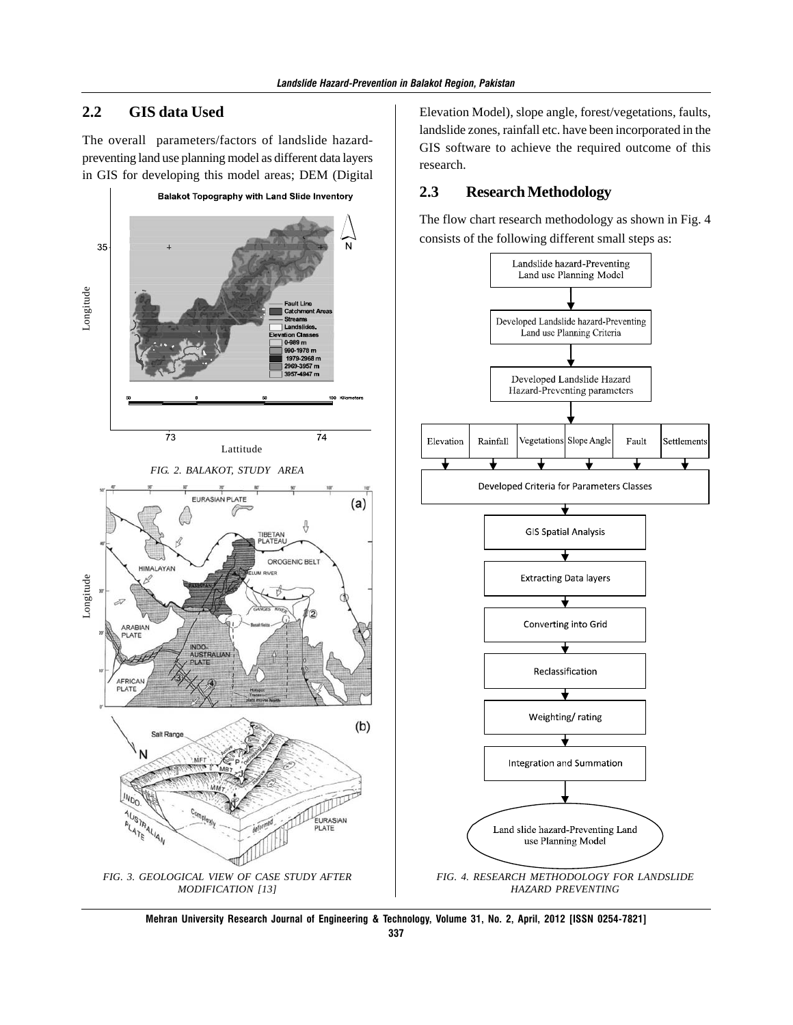#### **2.2 GIS data Used**

The overall parameters/factors of landslide hazardpreventing land use planning model as different data layers in GIS for developing this model areas; DEM (Digital



Elevation Model), slope angle, forest/vegetations, faults, landslide zones, rainfall etc. have been incorporated in the GIS software to achieve the required outcome of this research.

#### **2.3 Research Methodology**

The flow chart research methodology as shown in Fig. 4 consists of the following different small steps as:



**Mehran University Research Journal of Engineering & Technology, Volume 31, No. 2, April, 2012 [ISSN 0254-7821]**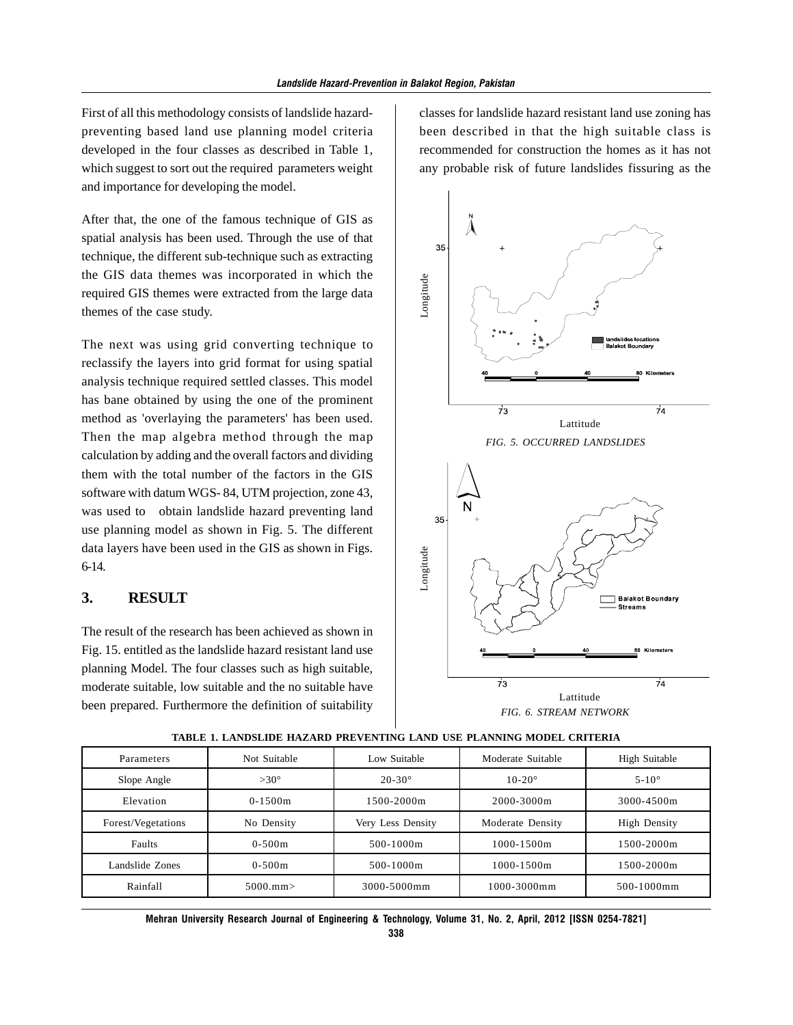First of all this methodology consists of landslide hazardpreventing based land use planning model criteria developed in the four classes as described in Table 1, which suggest to sort out the required parameters weight and importance for developing the model.

After that, the one of the famous technique of GIS as spatial analysis has been used. Through the use of that technique, the different sub-technique such as extracting the GIS data themes was incorporated in which the required GIS themes were extracted from the large data themes of the case study.

The next was using grid converting technique to reclassify the layers into grid format for using spatial analysis technique required settled classes. This model has bane obtained by using the one of the prominent method as 'overlaying the parameters' has been used. Then the map algebra method through the map calculation by adding and the overall factors and dividing them with the total number of the factors in the GIS software with datum WGS- 84, UTM projection, zone 43, was used to obtain landslide hazard preventing land use planning model as shown in Fig. 5. The different data layers have been used in the GIS as shown in Figs. 6-14.

#### **3. RESULT**

The result of the research has been achieved as shown in Fig. 15. entitled as the landslide hazard resistant land use planning Model. The four classes such as high suitable, moderate suitable, low suitable and the no suitable have been prepared. Furthermore the definition of suitability

classes for landslide hazard resistant land use zoning has been described in that the high suitable class is recommended for construction the homes as it has not any probable risk of future landslides fissuring as the



| Parameters         | Not Suitable   | Low Suitable      | Moderate Suitable | High Suitable       |
|--------------------|----------------|-------------------|-------------------|---------------------|
| Slope Angle        | $>30^\circ$    | $20 - 30^{\circ}$ | $10 - 20^{\circ}$ | $5-10^\circ$        |
| Elevation          | $0-1500m$      | 1500-2000m        | $2000 - 3000$ m   | 3000-4500m          |
| Forest/Vegetations | No Density     | Very Less Density | Moderate Density  | <b>High Density</b> |
| Faults             | $0-500m$       | $500 - 1000$ m    | $1000 - 1500m$    | 1500-2000m          |
| Landslide Zones    | $0-500m$       | $500 - 1000$ m    | $1000 - 1500m$    | 1500-2000m          |
| Rainfall           | $5000.$ mm $>$ | 3000-5000mm       | $1000 - 3000$ m m | 500-1000mm          |

#### **TABLE 1. LANDSLIDE HAZARD PREVENTING LAND USE PLANNING MODEL CRITERIA**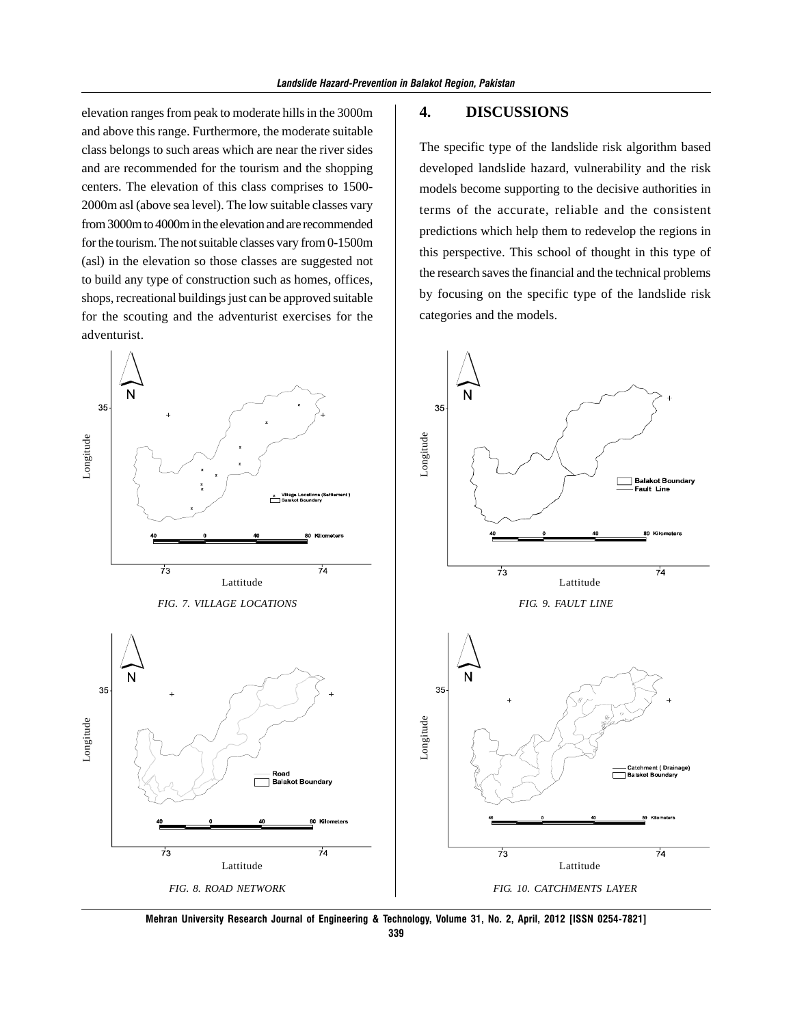elevation ranges from peak to moderate hills in the 3000m and above this range. Furthermore, the moderate suitable class belongs to such areas which are near the river sides and are recommended for the tourism and the shopping centers. The elevation of this class comprises to 1500- 2000m asl (above sea level). The low suitable classes vary from 3000m to 4000m in the elevation and are recommended for the tourism. The not suitable classes vary from 0-1500m (asl) in the elevation so those classes are suggested not to build any type of construction such as homes, offices, shops, recreational buildings just can be approved suitable for the scouting and the adventurist exercises for the adventurist.

# 35 35 Longitude Longitude **Balakot Boundary** -----------<br>Fault Line  $\frac{z}{z}$  Village Locations  $73$  $\overline{74}$  $\overline{73}$  $\overline{74}$ Lattitude Lattitude *FIG. 9. FAULT LINE FIG. 7. VILLAGE LOCATIONS* 35 35 LongitudeLongitude ── Catchment ( Drainage)<br>├─ Balakot Boundary Road<br>Balakot Boundary Kilometers  $\overline{73}$ 74  $\overline{73}$  $\overline{74}$ Lattitude Lattitude *FIG. 8. ROAD NETWORK FIG. 10. CATCHMENTS LAYER*

**Mehran University Research Journal of Engineering & Technology, Volume 31, No. 2, April, 2012 [ISSN 0254-7821]**

# **4. DISCUSSIONS**

The specific type of the landslide risk algorithm based developed landslide hazard, vulnerability and the risk models become supporting to the decisive authorities in terms of the accurate, reliable and the consistent predictions which help them to redevelop the regions in this perspective. This school of thought in this type of the research saves the financial and the technical problems by focusing on the specific type of the landslide risk categories and the models.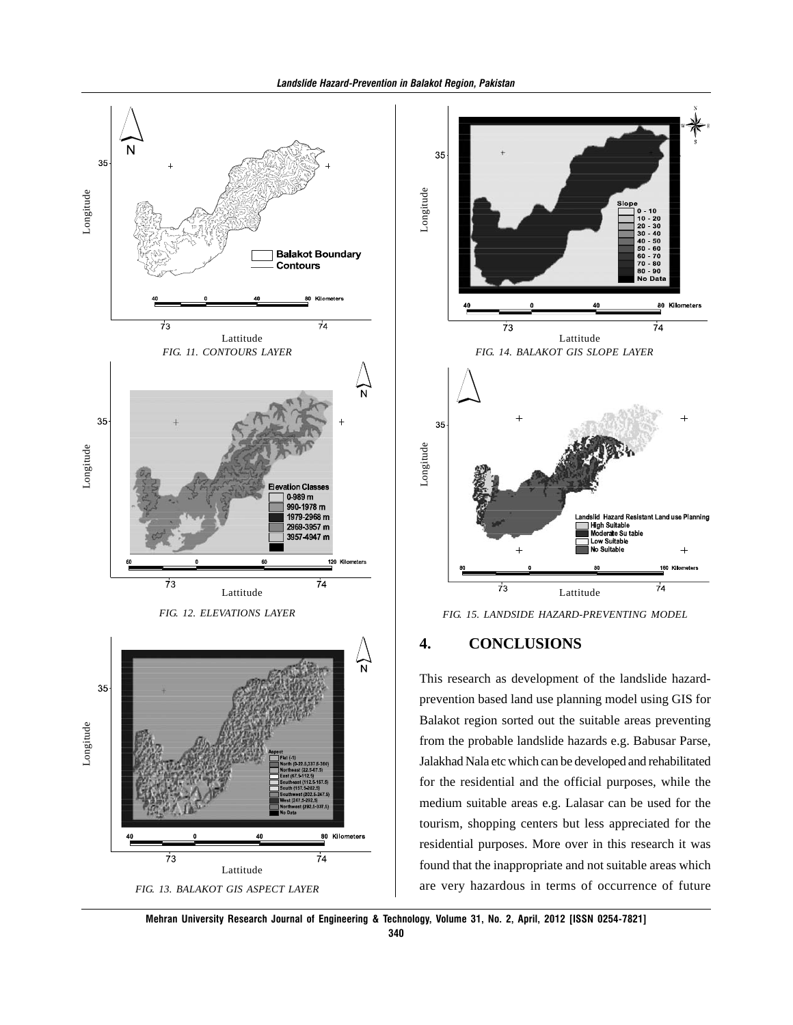



*FIG. 15. LANDSIDE HAZARD-PREVENTING MODEL*

### **4. CONCLUSIONS**

This research as development of the landslide hazardprevention based land use planning model using GIS for Balakot region sorted out the suitable areas preventing from the probable landslide hazards e.g. Babusar Parse, Jalakhad Nala etc which can be developed and rehabilitated for the residential and the official purposes, while the medium suitable areas e.g. Lalasar can be used for the tourism, shopping centers but less appreciated for the residential purposes. More over in this research it was found that the inappropriate and not suitable areas which are very hazardous in terms of occurrence of future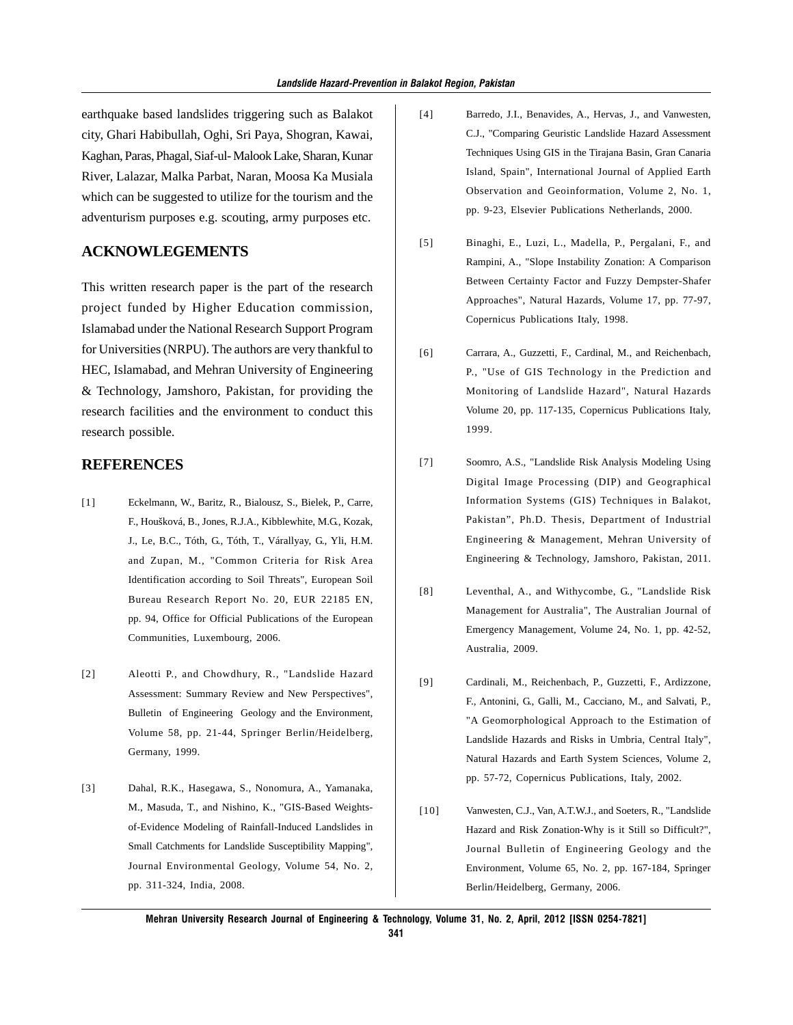earthquake based landslides triggering such as Balakot city, Ghari Habibullah, Oghi, Sri Paya, Shogran, Kawai, Kaghan, Paras, Phagal, Siaf-ul- Malook Lake, Sharan, Kunar River, Lalazar, Malka Parbat, Naran, Moosa Ka Musiala which can be suggested to utilize for the tourism and the adventurism purposes e.g. scouting, army purposes etc.

#### **ACKNOWLEGEMENTS**

This written research paper is the part of the research project funded by Higher Education commission, Islamabad under the National Research Support Program for Universities (NRPU). The authors are very thankful to HEC, Islamabad, and Mehran University of Engineering & Technology, Jamshoro, Pakistan, for providing the research facilities and the environment to conduct this research possible.

#### **REFERENCES**

- [1] Eckelmann, W., Baritz, R., Bialousz, S., Bielek, P., Carre, F., Houšková, B., Jones, R.J.A., Kibblewhite, M.G., Kozak, J., Le, B.C., Tóth, G., Tóth, T., Várallyay, G., Yli, H.M. and Zupan, M., "Common Criteria for Risk Area Identification according to Soil Threats", European Soil Bureau Research Report No. 20, EUR 22185 EN, pp. 94, Office for Official Publications of the European Communities, Luxembourg, 2006.
- [2] Aleotti P., and Chowdhury, R., "Landslide Hazard Assessment: Summary Review and New Perspectives", Bulletin of Engineering Geology and the Environment, Volume 58, pp. 21-44, Springer Berlin/Heidelberg, Germany, 1999.
- [3] Dahal, R.K., Hasegawa, S., Nonomura, A., Yamanaka, M., Masuda, T., and Nishino, K., "GIS-Based Weightsof-Evidence Modeling of Rainfall-Induced Landslides in Small Catchments for Landslide Susceptibility Mapping", Journal Environmental Geology, Volume 54, No. 2, pp. 311-324, India, 2008.
- [4] Barredo, J.I., Benavides, A., Hervas, J., and Vanwesten, C.J., "Comparing Geuristic Landslide Hazard Assessment Techniques Using GIS in the Tirajana Basin, Gran Canaria Island, Spain", International Journal of Applied Earth Observation and Geoinformation, Volume 2, No. 1, pp. 9-23, Elsevier Publications Netherlands, 2000.
- [5] Binaghi, E., Luzi, L., Madella, P., Pergalani, F., and Rampini, A., "Slope Instability Zonation: A Comparison Between Certainty Factor and Fuzzy Dempster-Shafer Approaches", Natural Hazards, Volume 17, pp. 77-97, Copernicus Publications Italy, 1998.
- [6] Carrara, A., Guzzetti, F., Cardinal, M., and Reichenbach, P., "Use of GIS Technology in the Prediction and Monitoring of Landslide Hazard", Natural Hazards Volume 20, pp. 117-135, Copernicus Publications Italy, 1999.
- [7] Soomro, A.S., "Landslide Risk Analysis Modeling Using Digital Image Processing (DIP) and Geographical Information Systems (GIS) Techniques in Balakot, Pakistan", Ph.D. Thesis, Department of Industrial Engineering & Management, Mehran University of Engineering & Technology, Jamshoro, Pakistan, 2011.
- [8] Leventhal, A., and Withycombe, G., "Landslide Risk Management for Australia", The Australian Journal of Emergency Management, Volume 24, No. 1, pp. 42-52, Australia, 2009.
- [9] Cardinali, M., Reichenbach, P., Guzzetti, F., Ardizzone, F., Antonini, G., Galli, M., Cacciano, M., and Salvati, P., "A Geomorphological Approach to the Estimation of Landslide Hazards and Risks in Umbria, Central Italy", Natural Hazards and Earth System Sciences, Volume 2, pp. 57-72, Copernicus Publications, Italy, 2002.
- [10] Vanwesten, C.J., Van, A.T.W.J., and Soeters, R., "Landslide Hazard and Risk Zonation-Why is it Still so Difficult?", Journal Bulletin of Engineering Geology and the Environment, Volume 65, No. 2, pp. 167-184, Springer Berlin/Heidelberg, Germany, 2006.